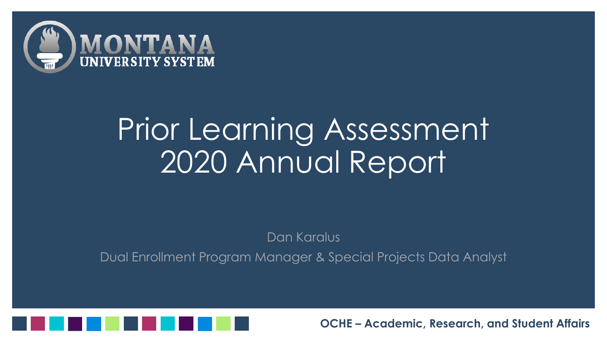

### Prior Learning Assessment 2020 Annual Report

Dan Karalus

Dual Enrollment Program Manager & Special Projects Data Analyst

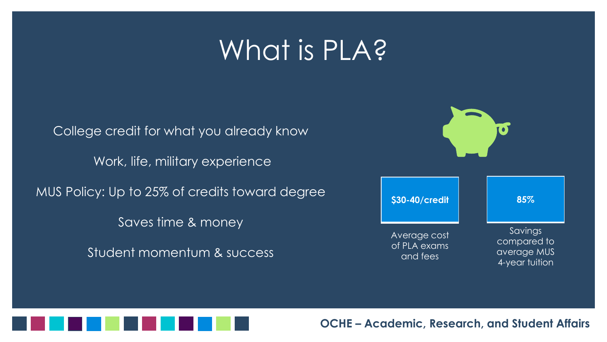#### What is PLA?

College credit for what you already know Work, life, military experience MUS Policy: Up to 25% of credits toward degree Saves time & money Student momentum & success





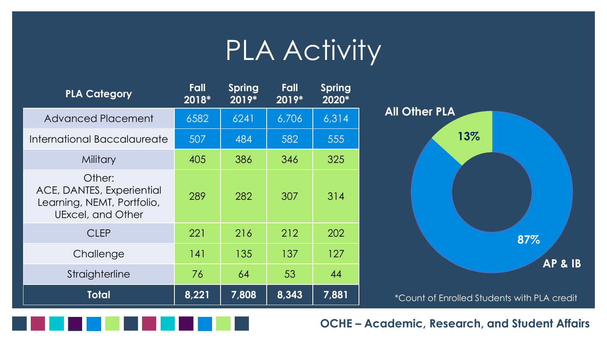#### PLA Activity

| <b>PLA Category</b>                                                                    | Fall<br>2018* | <b>Spring</b><br>$2019*$ | Fall<br>$2019*$ | <b>Spring</b><br>2020* |                                                    |
|----------------------------------------------------------------------------------------|---------------|--------------------------|-----------------|------------------------|----------------------------------------------------|
| <b>Advanced Placement</b>                                                              | 6582          | 6241                     | 6,706           | 6,314                  | <b>All Other PLA</b>                               |
| International Baccalaureate                                                            | 507           | 484                      | 582             | 555                    | 13%                                                |
| <b>Military</b>                                                                        | 405           | 386                      | 346             | 325                    |                                                    |
| Other:<br>ACE, DANTES, Experiential<br>Learning, NEMT, Portfolio,<br>UExcel, and Other | 289           | 282                      | 307             | 314                    |                                                    |
| <b>CLEP</b>                                                                            | 221           | 216                      | 212             | 202                    | 87%                                                |
| Challenge                                                                              | 141           | 135                      | 137             | 127                    | <b>AP &amp; IB</b>                                 |
| Straighterline                                                                         | 76            | 64                       | 53              | 44                     |                                                    |
| <b>Total</b>                                                                           | 8,221         | 7,808                    | 8,343           | 7,881                  | <i>*Count of Enrolled Students with PLA credit</i> |

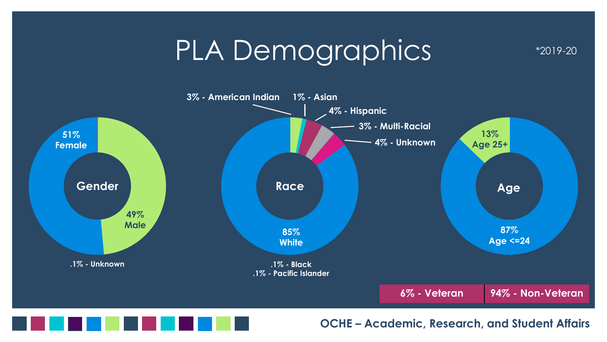#### PLA Demographics





**OCHE – Academic, Research, and Student Affairs**

\*2019-20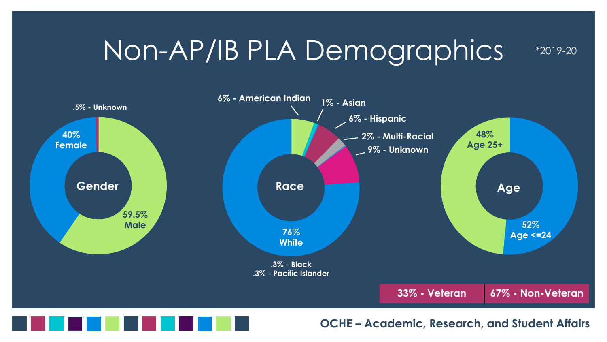#### Non-AP/IB PLA Demographics





**OCHE – Academic, Research, and Student Affairs**

\*2019-20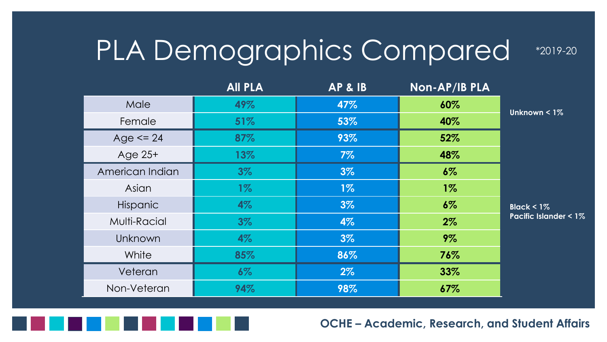#### PLA Demographics Compared

**All PLA AP & IB Non-AP/IB PLA** Male **49% 47% 60%** Female **51% 53% 40%** Age <= 24 **87% 93% 52%** Age 25+ **13% 7% 48%** American Indian **3% 3% 6%** Asian **1% 1% 1%** Hispanic **4% 3% 6%** Multi-Racial **3% 4% 2%** Unknown **4% 3% 9%** White **85% 86% 76%** Veteran **6% 2% 33%** Non-Veteran **94% 98% 67% Black < 1% Pacific Islander < 1% Unknown < 1%**



**OCHE – Academic, Research, and Student Affairs**

\*2019-20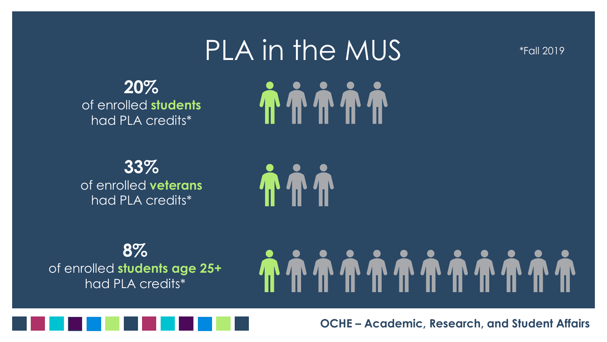## PLA in the MUS **TTTTT**

\*Fall 2019

**20%** of enrolled **students** had PLA credits\*

**33%** of enrolled **veterans** had PLA credits\*



**8%** of enrolled **students age 25+** had PLA credits\*

#